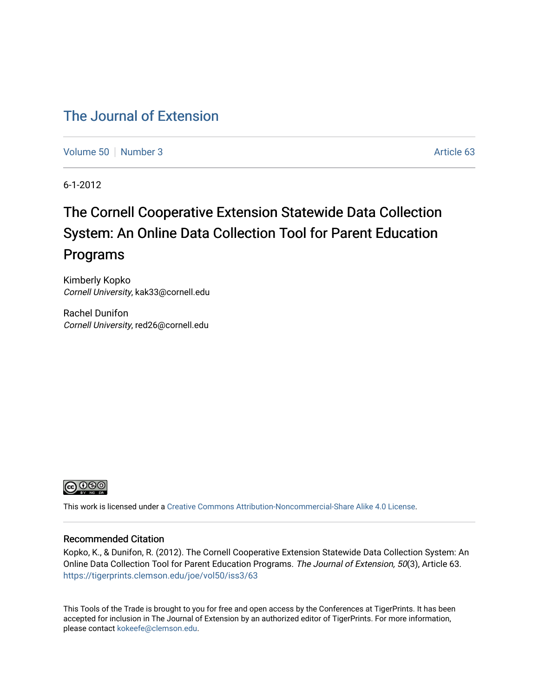## [The Journal of Extension](https://tigerprints.clemson.edu/joe)

[Volume 50](https://tigerprints.clemson.edu/joe/vol50) [Number 3](https://tigerprints.clemson.edu/joe/vol50/iss3) Article 63

6-1-2012

# The Cornell Cooperative Extension Statewide Data Collection System: An Online Data Collection Tool for Parent Education Programs

Kimberly Kopko Cornell University, kak33@cornell.edu

Rachel Dunifon Cornell University, red26@cornell.edu



This work is licensed under a [Creative Commons Attribution-Noncommercial-Share Alike 4.0 License.](https://creativecommons.org/licenses/by-nc-sa/4.0/)

#### Recommended Citation

Kopko, K., & Dunifon, R. (2012). The Cornell Cooperative Extension Statewide Data Collection System: An Online Data Collection Tool for Parent Education Programs. The Journal of Extension, 50(3), Article 63. <https://tigerprints.clemson.edu/joe/vol50/iss3/63>

This Tools of the Trade is brought to you for free and open access by the Conferences at TigerPrints. It has been accepted for inclusion in The Journal of Extension by an authorized editor of TigerPrints. For more information, please contact [kokeefe@clemson.edu](mailto:kokeefe@clemson.edu).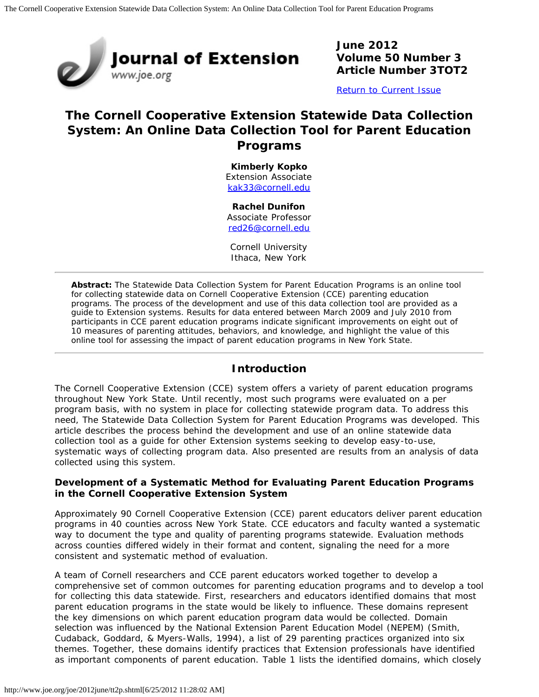

**June 2012 Volume 50 Number 3 Article Number 3TOT2**

[Return to Current Issue](http://www.joe.org/joe/2012june/)

## **The Cornell Cooperative Extension Statewide Data Collection System: An Online Data Collection Tool for Parent Education Programs**

**Kimberly Kopko** Extension Associate [kak33@cornell.edu](mailto:kak33@cornell.edu)

#### **Rachel Dunifon**

Associate Professor [red26@cornell.edu](mailto:red26@cornell.edu)

Cornell University Ithaca, New York

*Abstract: The Statewide Data Collection System for Parent Education Programs is an online tool for collecting statewide data on Cornell Cooperative Extension (CCE) parenting education programs. The process of the development and use of this data collection tool are provided as a guide to Extension systems. Results for data entered between March 2009 and July 2010 from participants in CCE parent education programs indicate significant improvements on eight out of 10 measures of parenting attitudes, behaviors, and knowledge, and highlight the value of this online tool for assessing the impact of parent education programs in New York State.*

#### **Introduction**

The Cornell Cooperative Extension (CCE) system offers a variety of parent education programs throughout New York State. Until recently, most such programs were evaluated on a per program basis, with no system in place for collecting statewide program data. To address this need, The Statewide Data Collection System for Parent Education Programs was developed. This article describes the process behind the development and use of an online statewide data collection tool as a guide for other Extension systems seeking to develop easy-to-use, systematic ways of collecting program data. Also presented are results from an analysis of data collected using this system.

#### **Development of a Systematic Method for Evaluating Parent Education Programs in the Cornell Cooperative Extension System**

Approximately 90 Cornell Cooperative Extension (CCE) parent educators deliver parent education programs in 40 counties across New York State. CCE educators and faculty wanted a systematic way to document the type and quality of parenting programs statewide. Evaluation methods across counties differed widely in their format and content, signaling the need for a more consistent and systematic method of evaluation.

A team of Cornell researchers and CCE parent educators worked together to develop a comprehensive set of common outcomes for parenting education programs and to develop a tool for collecting this data statewide. First, researchers and educators identified domains that most parent education programs in the state would be likely to influence. These domains represent the key dimensions on which parent education program data would be collected. Domain selection was influenced by the *National Extension Parent Education Model (NEPEM)* (Smith, Cudaback, Goddard, & Myers-Walls, 1994), a list of 29 parenting practices organized into six themes. Together, these domains identify practices that Extension professionals have identified as important components of parent education. Table 1 lists the identified domains, which closely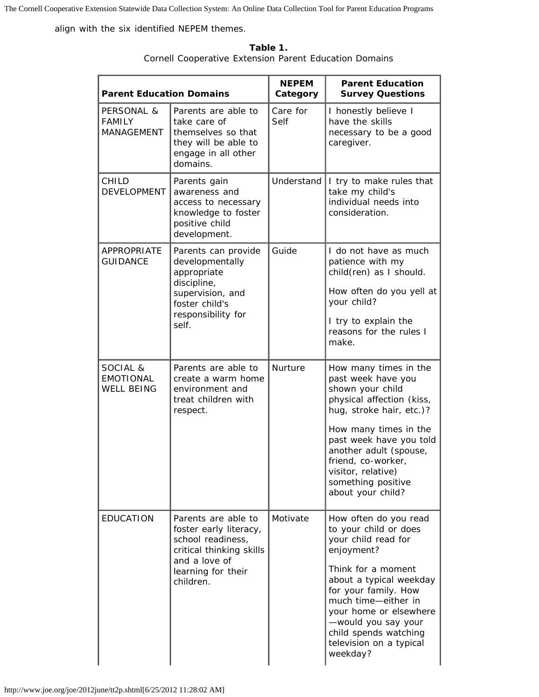The Cornell Cooperative Extension Statewide Data Collection System: An Online Data Collection Tool for Parent Education Programs

align with the six identified NEPEM themes.

| <b>Parent Education Domains</b>                   |                                                                                                                                                    | <b>NEPEM</b><br>Category | <b>Parent Education</b><br><b>Survey Questions</b>                                                                                                                                                                                                                                                   |
|---------------------------------------------------|----------------------------------------------------------------------------------------------------------------------------------------------------|--------------------------|------------------------------------------------------------------------------------------------------------------------------------------------------------------------------------------------------------------------------------------------------------------------------------------------------|
| PERSONAL &<br><b>FAMILY</b><br>MANAGEMENT         | Parents are able to<br>take care of<br>themselves so that<br>they will be able to<br>engage in all other<br>domains.                               | Care for<br>Self         | I honestly believe I<br>have the skills<br>necessary to be a good<br>caregiver.                                                                                                                                                                                                                      |
| <b>CHILD</b><br><b>DEVELOPMENT</b>                | Parents gain<br>awareness and<br>access to necessary<br>knowledge to foster<br>positive child<br>development.                                      | Understand               | I try to make rules that<br>take my child's<br>individual needs into<br>consideration.                                                                                                                                                                                                               |
| APPROPRIATE<br><b>GUIDANCE</b>                    | Parents can provide<br>developmentally<br>appropriate<br>discipline,<br>supervision, and<br>foster child's<br>responsibility for<br>self.          | Guide                    | I do not have as much<br>patience with my<br>child(ren) as I should.<br>How often do you yell at<br>your child?<br>I try to explain the<br>reasons for the rules I<br>make.                                                                                                                          |
| SOCIAL &<br><b>EMOTIONAL</b><br><b>WELL BEING</b> | Parents are able to<br>create a warm home<br>environment and<br>treat children with<br>respect.                                                    | Nurture                  | How many times in the<br>past week have you<br>shown your child<br>physical affection (kiss,<br>hug, stroke hair, etc.)?<br>How many times in the<br>past week have you told<br>another adult (spouse,<br>friend, co-worker,<br>visitor, relative)<br>something positive<br>about your child?        |
| <b>EDUCATION</b>                                  | Parents are able to<br>foster early literacy,<br>school readiness,<br>critical thinking skills<br>and a love of<br>learning for their<br>children. | Motivate                 | How often do you read<br>to your child or does<br>your child read for<br>enjoyment?<br>Think for a moment<br>about a typical weekday<br>for your family. How<br>much time-either in<br>your home or elsewhere<br>-would you say your<br>child spends watching<br>television on a typical<br>weekday? |

**Table 1.** Cornell Cooperative Extension Parent Education Domains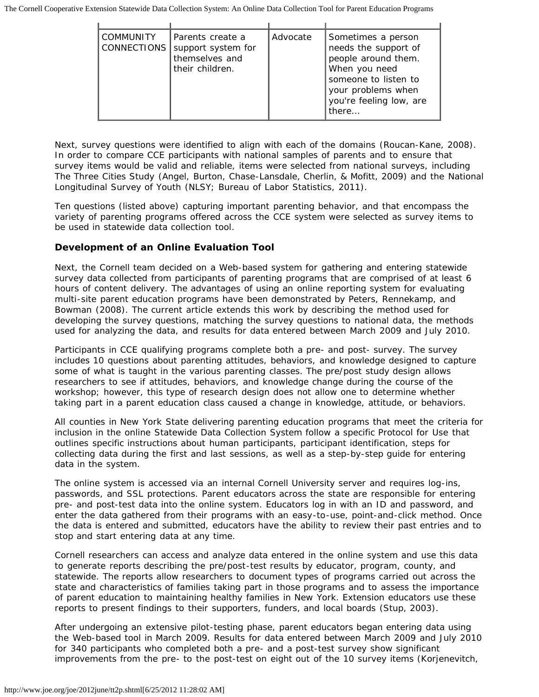The Cornell Cooperative Extension Statewide Data Collection System: An Online Data Collection Tool for Parent Education Programs

| <b>COMMUNITY</b><br>CONNECTIONS | Parents create a<br>support system for<br>themselves and<br>their children. | Advocate | Sometimes a person<br>needs the support of<br>people around them.<br>When you need<br>someone to listen to<br>your problems when<br>you're feeling low, are<br>there |
|---------------------------------|-----------------------------------------------------------------------------|----------|----------------------------------------------------------------------------------------------------------------------------------------------------------------------|

Next, survey questions were identified to align with each of the domains (Roucan-Kane, 2008). In order to compare CCE participants with national samples of parents and to ensure that survey items would be valid and reliable, items were selected from national surveys, including The Three Cities Study (Angel, Burton, Chase-Lansdale, Cherlin, & Mofitt, 2009) and the National Longitudinal Survey of Youth (NLSY; Bureau of Labor Statistics, 2011).

Ten questions (listed above) capturing important parenting behavior, and that encompass the variety of parenting programs offered across the CCE system were selected as survey items to be used in statewide data collection tool*.*

#### **Development of an Online Evaluation Tool**

Next, the Cornell team decided on a Web-based system for gathering and entering statewide survey data collected from participants of parenting programs that are comprised of at least 6 hours of content delivery. The advantages of using an online reporting system for evaluating multi-site parent education programs have been demonstrated by Peters, Rennekamp, and Bowman (2008). The current article extends this work by describing the method used for developing the survey questions, matching the survey questions to national data, the methods used for analyzing the data, and results for data entered between March 2009 and July 2010.

Participants in CCE qualifying programs complete both a pre- and post- survey. The survey includes 10 questions about parenting attitudes, behaviors, and knowledge designed to capture some of what is taught in the various parenting classes. The pre/post study design allows researchers to see if attitudes, behaviors, and knowledge change during the course of the workshop; however, this type of research design does not allow one to determine whether taking part in a parent education class *caused* a change in knowledge, attitude, or behaviors.

All counties in New York State delivering parenting education programs that meet the criteria for inclusion in the online Statewide Data Collection System follow a specific *Protocol for Use* that outlines specific instructions about human participants, participant identification, steps for collecting data during the first and last sessions, as well as a step-by-step guide for entering data in the system.

The online system is accessed via an internal Cornell University server and requires log-ins, passwords, and SSL protections. Parent educators across the state are responsible for entering pre- and post-test data into the online system. Educators log in with an ID and password, and enter the data gathered from their programs with an easy-to-use, point-and-click method. Once the data is entered and submitted, educators have the ability to review their past entries and to stop and start entering data at any time.

Cornell researchers can access and analyze data entered in the online system and use this data to generate reports describing the pre/post-test results by educator, program, county, and statewide. The reports allow researchers to document types of programs carried out across the state and characteristics of families taking part in those programs and to assess the importance of parent education to maintaining healthy families in New York. Extension educators use these reports to present findings to their supporters, funders, and local boards (Stup, 2003).

After undergoing an extensive pilot-testing phase, parent educators began entering data using the Web-based tool in March 2009. Results for data entered between March 2009 and July 2010 for 340 participants who completed both a pre- and a post-test survey show significant improvements from the pre- to the post-test on eight out of the 10 survey items (Korjenevitch,